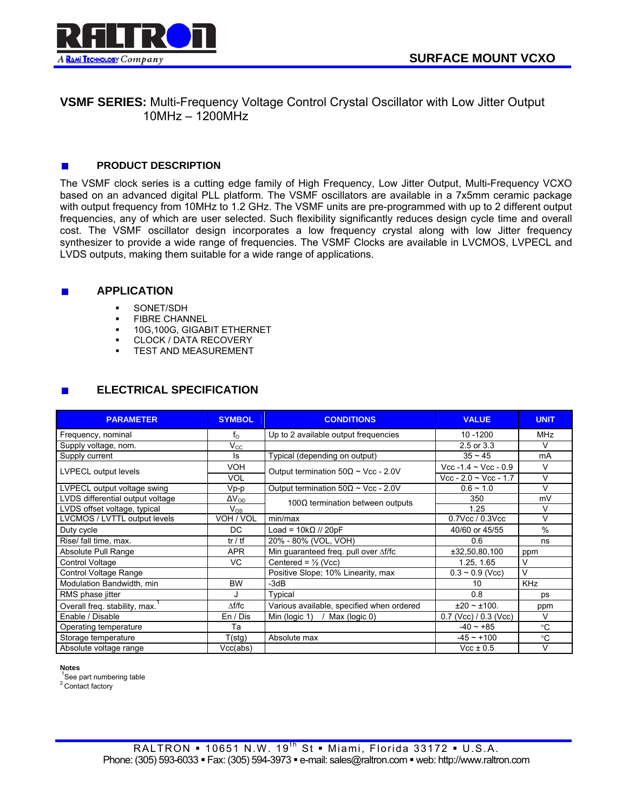

# **VSMF SERIES:** Multi-Frequency Voltage Control Crystal Oscillator with Low Jitter Output 10MHz – 1200MHz

### $\overline{\phantom{a}}$ **PRODUCT DESCRIPTION**

The VSMF clock series is a cutting edge family of High Frequency, Low Jitter Output, Multi-Frequency VCXO based on an advanced digital PLL platform. The VSMF oscillators are available in a 7x5mm ceramic package with output frequency from 10MHz to 1.2 GHz. The VSMF units are pre-programmed with up to 2 different output frequencies, any of which are user selected. Such flexibility significantly reduces design cycle time and overall cost. The VSMF oscillator design incorporates a low frequency crystal along with low Jitter frequency synthesizer to provide a wide range of frequencies. The VSMF Clocks are available in LVCMOS, LVPECL and LVDS outputs, making them suitable for a wide range of applications.

#### **APPLICATION**   $\blacksquare$

- **SONET/SDH**
- **FIBRE CHANNEL**
- **10G,100G, GIGABIT ETHERNET**
- **CLOCK / DATA RECOVERY**
- **TEST AND MEASUREMENT**

### **ELECTRICAL SPECIFICATION**   $\overline{\phantom{a}}$

| <b>PARAMETER</b>                 | <b>SYMBOL</b>              | <b>CONDITIONS</b>                             | <b>VALUE</b>              | <b>UNIT</b>   |
|----------------------------------|----------------------------|-----------------------------------------------|---------------------------|---------------|
| Frequency, nominal               | $f_{\odot}$                | Up to 2 available output frequencies          | 10 - 1200                 | <b>MHz</b>    |
| Supply voltage, nom.             | $\mathsf{V}_{\mathsf{CC}}$ |                                               | 2.5 or 3.3                | $\vee$        |
| Supply current                   | ls                         | Typical (depending on output)                 | $35 - 45$                 | mA            |
| LVPECL output levels             | <b>VOH</b>                 | Output termination $50\Omega \sim$ Vcc - 2.0V | Vcc -1.4 $\sim$ Vcc - 0.9 | V             |
|                                  | <b>VOL</b>                 |                                               | $Vec - 2.0 - Vec - 1.7$   | $\vee$        |
| LVPECL output voltage swing      | $Vp-p$                     | Output termination $50\Omega \sim$ Vcc - 2.0V | $0.6 - 1.0$               | $\vee$        |
| LVDS differential output voltage | $\overline{\Delta V_{OD}}$ | 100 $\Omega$ termination between outputs      | 350                       | mV            |
| LVDS offset voltage, typical     | $V_{OS}$                   |                                               | 1.25                      | $\vee$        |
| LVCMOS / LVTTL output levels     | VOH / VOL                  | min/max                                       | $0.7$ Vcc / $0.3$ Vcc     | $\vee$        |
| Duty cycle                       | DC.                        | Load = $10k\Omega$ // 20pF                    | 40/60 or 45/55            | $\frac{0}{0}$ |
| Rise/ fall time, max.            | tr / tf                    | 20% - 80% (VOL, VOH)                          | 0.6                       | ns            |
| Absolute Pull Range              | <b>APR</b>                 | Min guaranteed freq. pull over Af/fc          | ±32,50,80,100             | ppm           |
| Control Voltage                  | <b>VC</b>                  | Centered = $\frac{1}{2}$ (Vcc)                | 1.25, 1.65                | V             |
| Control Voltage Range            |                            | Positive Slope; 10% Linearity, max            | $0.3 \sim 0.9$ (Vcc)      | $\vee$        |
| Modulation Bandwidth, min        | <b>BW</b>                  | $-3dB$                                        | 10                        | <b>KHz</b>    |
| RMS phase jitter                 | J                          | Typical                                       | 0.8                       | ps            |
| Overall freq. stability, max.    | $\Delta f/fc$              | Various available, specified when ordered     | $±20$ ~ ±100.             | ppm           |
| Enable / Disable                 | En / Dis                   | Min (logic 1) / Max (logic 0)                 | $0.7$ (Vcc) $/ 0.3$ (Vcc) | V             |
| Operating temperature            | Та                         |                                               | $-40 - +85$               | °C            |
| Storage temperature              | T(stg)                     | Absolute max                                  | $-45 - +100$              | $^{\circ}C$   |
| Absolute voltage range           | Vcc(abs)                   |                                               | $Vcc \pm 0.5$             | V             |

### **Notes**

 1 See part numbering table

<sup>2</sup> Contact factory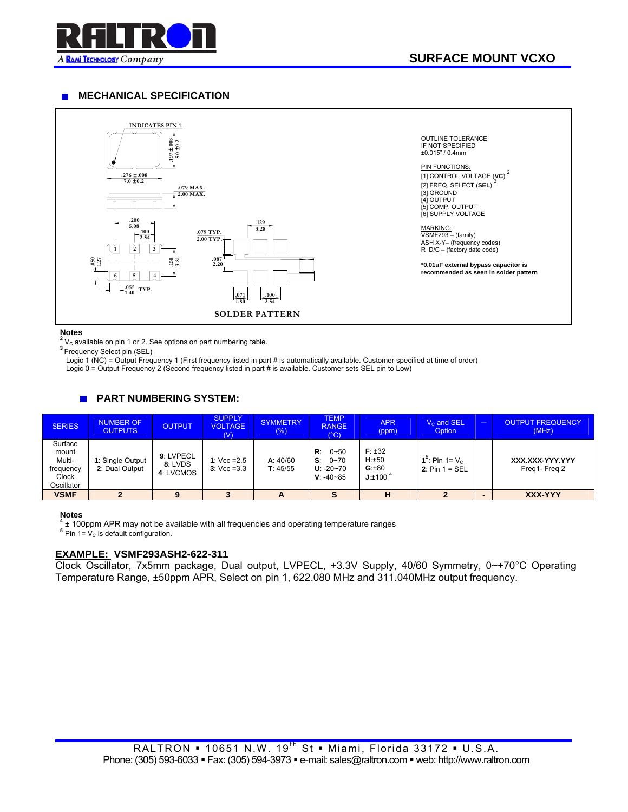

#### **MECHANICAL SPECIFICATION**   $\mathbf{r}$



### **Notes**

<sup>2</sup> V<sub>C</sub> available on pin 1 or 2. See options on part numbering table.<br><sup>3</sup>Frequency Select pin (SEL)

Logic 1 (NC) = Output Frequency 1 (First frequency listed in part # is automatically available. Customer specified at time of order)

Logic 0 = Output Frequency 2 (Second frequency listed in part # is available. Customer sets SEL pin to Low)

#### $\mathbf{r}$ **PART NUMBERING SYSTEM:**

| <b>SERIES</b>                                                  | <b>NUMBER OF</b><br><b>OUTPUTS</b> | <b>OUTPUT</b>                     | <b>SUPPLY</b><br><b>VOLTAGE</b><br>(V) | <b>SYMMETRY</b><br>(% ) | <b>TEMP</b><br><b>RANGE</b><br>$(^\circ C)$                        | <b>APR</b><br>(ppm)                         | $Vc$ and SEL<br>Option                            | <b>OUTPUT FREQUENCY</b><br>(MHz) |
|----------------------------------------------------------------|------------------------------------|-----------------------------------|----------------------------------------|-------------------------|--------------------------------------------------------------------|---------------------------------------------|---------------------------------------------------|----------------------------------|
| Surface<br>mount<br>Multi-<br>frequency<br>Clock<br>Oscillator | 1: Single Output<br>2: Dual Output | 9: LVPECL<br>8: LVDS<br>4: LVCMOS | 1: $Vcc = 2.5$<br>$3:$ Vcc = 3.3       | A: 40/60<br>T: 45/55    | $0 - 50$<br>R:<br>$0 - 70$<br>S.<br>$U: -20 - 70$<br>$V: -40 - 85$ | $F: \pm 32$<br>H:±50<br>G:±80<br>$J:±100^4$ | 1 <sup>5</sup> : Pin 1= $V_c$<br>2: $Pin 1 = SEL$ | XXX.XXX-YYY.YYY<br>Frea1-Frea 2  |
| <b>VSMF</b>                                                    | $\mathbf{2}$                       |                                   |                                        | A                       | $\bullet$                                                          | н                                           |                                                   | XXX-YYY                          |

### **Notes**

 $4 + 100$ ppm APR may not be available with all frequencies and operating temperature ranges

 $5 \overline{\text{Pin}}$  1= V<sub>c</sub> is default configuration.

## **EXAMPLE: VSMF293ASH2-622-311**

Clock Oscillator, 7x5mm package, Dual output, LVPECL, +3.3V Supply, 40/60 Symmetry, 0~+70°C Operating Temperature Range, ±50ppm APR, Select on pin 1, 622.080 MHz and 311.040MHz output frequency.